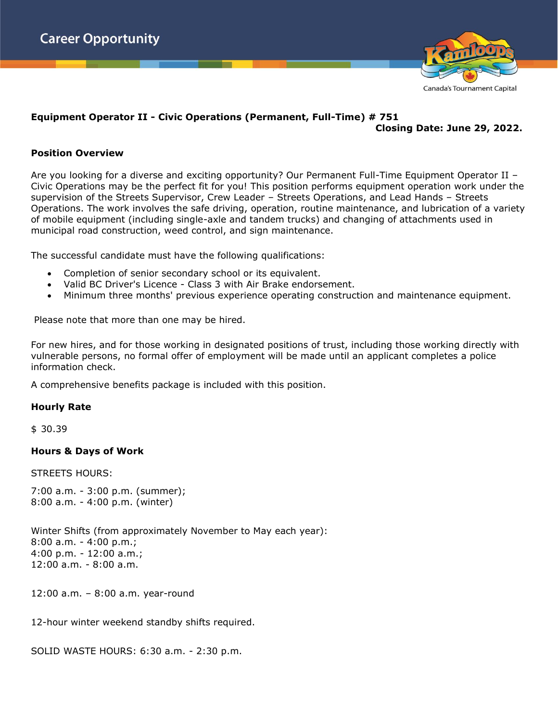

### **Equipment Operator II - Civic Operations (Permanent, Full-Time) # 751 Closing Date: June 29, 2022.**

# **Position Overview**

Are you looking for a diverse and exciting opportunity? Our Permanent Full-Time Equipment Operator II – Civic Operations may be the perfect fit for you! This position performs equipment operation work under the supervision of the Streets Supervisor, Crew Leader – Streets Operations, and Lead Hands – Streets Operations. The work involves the safe driving, operation, routine maintenance, and lubrication of a variety of mobile equipment (including single-axle and tandem trucks) and changing of attachments used in municipal road construction, weed control, and sign maintenance.

The successful candidate must have the following qualifications:

- Completion of senior secondary school or its equivalent.
- Valid BC Driver's Licence Class 3 with Air Brake endorsement.
- Minimum three months' previous experience operating construction and maintenance equipment.

Please note that more than one may be hired.

For new hires, and for those working in designated positions of trust, including those working directly with vulnerable persons, no formal offer of employment will be made until an applicant completes a police information check.

A comprehensive benefits package is included with this position.

# **Hourly Rate**

\$ 30.39

# **Hours & Days of Work**

STREETS HOURS:

7:00 a.m. - 3:00 p.m. (summer); 8:00 a.m. - 4:00 p.m. (winter)

Winter Shifts (from approximately November to May each year): 8:00 a.m. - 4:00 p.m.; 4:00 p.m. - 12:00 a.m.; 12:00 a.m. - 8:00 a.m.

12:00 a.m. – 8:00 a.m. year-round

12-hour winter weekend standby shifts required.

SOLID WASTE HOURS: 6:30 a.m. - 2:30 p.m.